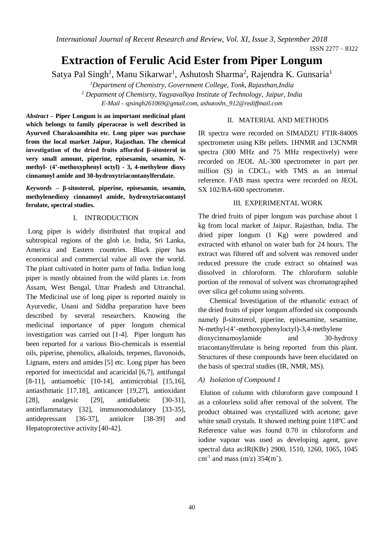*International Journal of Recent Research and Review, Vol. XI, Issue 3, September 2018*

ISSN 2277 – 8322

# **Extraction of Ferulic Acid Ester from Piper Longum**

Satya Pal Singh<sup>1</sup>, Manu Sikarwar<sup>1</sup>, Ashutosh Sharma<sup>2</sup>, Rajendra K. Gunsaria<sup>1</sup>

*<sup>1</sup>Department of Chemistry, Government College, Tonk, Rajasthan,India <sup>2</sup> Depatment of Chemisrty, Yagyavalkya Institute of Technology, Jaipur, India E-Mail - spsingh261069@gmail.com, [ashutoshs\\_912@rediffmail.com](mailto:ashutoshs_912@rediffmail.com)*

*Abstract* **– Piper Longum is an important medicinal plant which belongs to family piperaceae is well described in Ayurved Charaksamihita etc. Long piper was purchase from the local market Jaipur, Rajasthan. The chemical investigation of the dried fruits afforded β-sitosterol in very small amount, piperine, episesamin, sesamin, Nmethyl- (4'-methoxyphenyl octyl) - 3, 4-methylene dioxy cinnamoyl amide and 30-hydroxytriacontanylferulate.** 

*Keywords* **– β-sitosterol, piperine, episesamin, sesamin, methylenedioxy cinnamoyl amide, hydroxytriacontanyl ferulate, spectral studies.**

#### I. INTRODUCTION

Long piper is widely distributed that tropical and subtropical regions of the glob i.e. India, Sri Lanka, America and Eastern countries. Black piper has economical and commercial value all over the world. The plant cultivated in hotter parts of India. Indian long piper is mostly obtained from the wild plants i.e. from Assam, West Bengal, Uttar Pradesh and Uttranchal. The Medicinal use of long piper is reported mainly in Ayurvedic, Unani and Siddha preparation have been described by several researchers. Knowing the medicinal importance of piper longum chemical investigation was carried out [1-4]. Piper longum has been reported for a various Bio-chemicals is essential oils, piperine, phenolics, alkaloids, terpenes, flavonoids, Lignans, esters and amides [5] etc. Long piper has been reported for insecticidal and acaricidal [6,7], antifungal [8-11], antiamoebic [10-14], antimicrobial [15,16], antiasthmatic [17,18], anticancer [19,27], antioxidant [28], analgesic [29], antidiabetic [30-31], antinflammatary [32], immunomodulatory [33-35], antidepressant [36-37], antiulcer [38-39] and Hepatoprotective activity [40-42].

#### II. MATERIAL AND METHODS

IR spectra were recorded on SIMADZU FTIR-8400S spectrometer using KBr pellets. 1HNMR and 13CNMR spectra (300 MHz and 75 MHz respectively) were recorded on JEOL AL-300 spectrometer in part per million (S) in CDCL<sub>3</sub> with TMS as an internal reference. FAB mass spectra were recorded on JEOL SX 102/BA-600 spectrometer.

## III. EXPERIMENTAL WORK

The dried fruits of piper longum was purchase about 1 kg from local market of Jaipur. Rajasthan, India. The dried piper longum (1 Kg) were powdered and extracted with ethanol on water bath for 24 hours. The extract was filtered off and solvent was removed under reduced pressure the crude extract so obtained was dissolved in chloroform. The chloroform soluble portion of the removal of solvent was chromatographed over silica gel column using solvents.

Chemical Investigation of the ethanolic extract of the dried fruits of piper longum afforded six compounds namely β-sitosterol, piperine, episesamine, sesamine, N-methyl-(4'-methoxyphenyloctyl)-3,4-methylene dioxycinnamoylamide and 30-hydroxy triacontanylferulate is being reported from this plant. Structures of these compounds have been elucidated on the basis of spectral studies (IR, NMR, MS).

## *A) Isolation of Compound 1*

Elution of column with chloroform gave compound I as a colourless solid after removal of the solvent. The product obtained was crystallized with acetone; gave white small crystals. It showed melting point 118ºC and Reference value was found 0.70 in chloroform and iodine vapour was used as developing agent, gave spectral data as:IR(KBr) 2900, 1510, 1260, 1065, 1045 cm<sup>-1</sup> and mass (m/z)  $354(m^+)$ .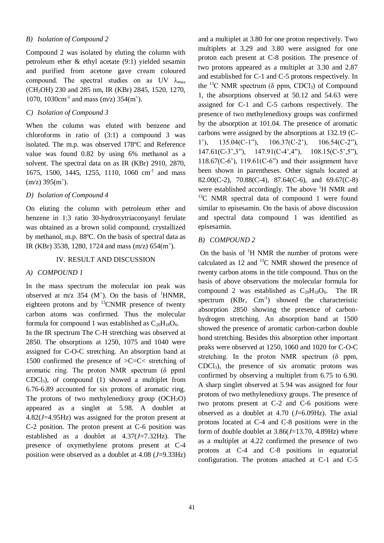# *B) Isolation of Compound 2*

Compound 2 was isolated by eluting the column with petroleum ether & ethyl acetate (9:1) yielded sesamin and purified from acetone gave cream coloured compound. The spectral studies on as UV  $\lambda_{\text{max}}$ (CH3OH) 230 and 285 nm, IR (KBr) 2845, 1520, 1270, 1070, 1030cm<sup>-1</sup> and mass (m/z) 354(m<sup>+</sup>).

# *C) Isolation of Compound 3*

When the column was eluted with benzene and chloroforms in ratio of (3:1) a compound 3 was isolated. The m.p. was observed 178ºC and Reference value was found 0.82 by using 6% methanol as a solvent. The spectral data on as IR (KBr) 2910, 2870, 1675, 1500, 1445, 1255, 1110, 1060 cm<sup>-1</sup> and mass  $(m/z)$  395 $(m<sup>+</sup>)$ .

## *D) Isolation of Compound 4*

On eluting the column with petroleum ether and benzene in 1:3 ratio 30-hydroxytriaconyanyl ferulate was obtained as a brown solid compound, crystallized by methanol, m.p. 88ºC. On the basis of spectral data as IR (KBr) 3538, 1280, 1724 and mass  $(m/z)$  654 $(m<sup>+</sup>)$ .

#### IV. RESULT AND DISCUSSION

#### *A) COMPOUND 1*

In the mass spectrum the molecular ion peak was observed at m/z 354 ( $M^+$ ). On the basis of <sup>1</sup>HNMR, eighteen protons and by  $^{13}$ CNMR presence of twenty carbon atoms was confirmed. Thus the molecular formula for compound 1 was established as  $C_{20}H_{18}O_6$ .

In the IR spectrum The C-H stretching was observed at 2850. The obsorptions at 1250, 1075 and 1040 were assigned for C-O-C stretching. An absorption band at 1500 confirmed the presence of >C=C< stretching of aromatic ring. The proton NMR spectrum  $(\delta$  ppml CDCl3), of compound (1) showed a multiplet from 6.76-6.89 accounted for six protons of aromatic ring. The protons of two methylenedioxy group  $(OCH<sub>2</sub>O)$ appeared as a singlet at 5.98. A doublet at 4.82(*J*=4.95Hz) was assigned for the proton present at C-2 position. The proton present at C-6 position was established as a doublet at 4.37(*J*=7.32Hz). The presence of oxymethylene protons present at C-4 position were observed as a doublet at 4.08 (*J*=9.33Hz)

and a multiplet at 3.80 for one proton respectively. Two multiplets at 3.29 and 3.80 were assigned for one proton each present at C-8 position. The presence of two protons appeared as a multiplet at 3.30 and 2.87 and established for C-1 and C-5 protons respectively. In the <sup>13</sup>C NMR spectrum ( $\delta$  ppm, CDCl<sub>3</sub>) of Compound 1, the absorptions observed at 50.12 and 54.63 were assigned for C-1 and C-5 carbons respectively. The presence of two methylenedioxy groups was confirmed by the absorption at 101.04. The presence of aromatic carbons were assigned by the absorptions at 132.19 (C-1'), 135.04(C-1"), 106.37(C-2'), 106.54(C-2"), 147.61(C-3',3"), 147.91(C-4',4"), 108.15(C-5',5"),  $118.67(C-6)$ ,  $119.61(C-6)$  and their assignment have been shown in parentheses. Other signals located at 82.00(C-2), 70.88(C-4), 87.64(C-6), and 69.67(C-8) were established accordingly. The above  ${}^{1}H$  NMR and  $13^{\circ}$ C NMR spectral data of compound 1 were found similar to episesamin. On the basis of above discussion and spectral data compound 1 was identified as episesamin.

#### *B) COMPOUND 2*

On the basis of  $\rm{^1H}$  NMR the number of protons were calculated as 12 and  $^{13}$ C NMR showed the presence of twenty carbon atoms in the title compound. Thus on the basis of above observations the molecular formula for compound 2 was established as  $C_{20}H_{18}O_6$ . The IR spectrum  $(KBr, \text{Cm}^{-1})$  showed the characteristic absorption 2850 showing the presence of carbonhydrogen stretching. An absorption band at 1500 showed the presence of aromatic carbon-carbon double bond stretching. Besides this absorption other important peaks were observed at 1250, 1060 and 1020 for C-O-C stretching. In the proton NMR spectrum  $(\delta$  ppm, CDCl3), the presence of six aromatic protons was confirmed by observing a multiplet from 6.75 to 6.90. A sharp singlet observed at 5.94 was assigned for four protons of two methylenedioxy groups. The presence of two protons present at C-2 and C-6 positions were observed as a doublet at 4.70 (*J*=6.09Hz). The axial protons located at C-4 and C-8 positions were in the form of double doublet at 3.86(*J*=13.70, 4.89Hz) where as a multiplet at 4.22 confirmed the presence of two protons at C-4 and C-8 positions in equatorial configuration. The protons attached at C-1 and C-5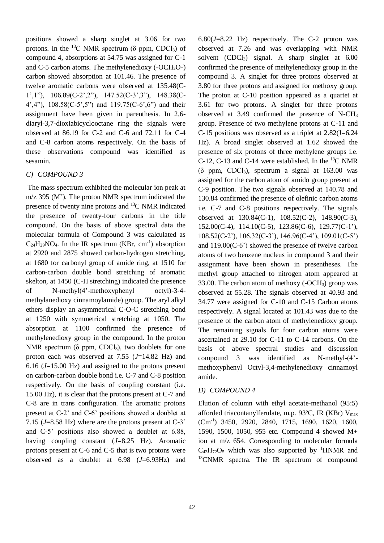positions showed a sharp singlet at 3.06 for two protons. In the <sup>13</sup>C NMR spectrum ( $\delta$  ppm, CDCl<sub>3</sub>) of compound 4, absorptions at 54.75 was assigned for C-1 and C-5 carbon atoms. The methylenedioxy  $(-OCH<sub>2</sub>O<sub>-</sub>)$ carbon showed absorption at 101.46. The presence of twelve aromatic carbons were observed at 135.48(C-1',1"), 106.89(C-2',2"), 147.52(C-3',3"), 148.38(C-4',4"), 108.58(C-5',5") and 119.75(C-6',6") and their assignment have been given in parenthesis. In 2,6 diaryl-3,7-dioxiabicyclooctane ring the signals were observed at 86.19 for C-2 and C-6 and 72.11 for C-4 and C-8 carbon atoms respectively. On the basis of these observations compound was identified as sesamin.

#### *C) COMPOUND 3*

The mass spectrum exhibited the molecular ion peak at  $m/z$  395 ( $M^+$ ). The proton NMR spectrum indicated the presence of twenty nine protons and <sup>13</sup>C NMR indicated the presence of twenty-four carbons in the title compound. On the basis of above spectral data the molecular formula of Compound 3 was calculated as  $C_{24}H_{29}NO_4$ . In the IR spectrum (KBr, cm<sup>-1</sup>) absorption at 2920 and 2875 showed carbon-hydrogen stretching, at 1680 for carbonyl group of amide ring, at 1510 for carbon-carbon double bond stretching of aromatic skelton, at 1450 (C-H stretching) indicated the presence of N-methyl(4'-methoxyphenyl octyl)-3-4 methylanedioxy cinnamoylamide) group. The aryl alkyl ethers display an asymmetrical C-O-C stretching bond at 1250 with symmetrical stretching at 1050. The absorption at 1100 confirmed the presence of methylenedioxy group in the compound. In the proton NMR spectrum ( $\delta$  ppm, CDCl<sub>3</sub>), two doublets for one proton each was observed at 7.55 (*J*=14.82 Hz) and 6.16 (*J*=15.00 Hz) and assigned to the protons present on carbon-carbon double bond i.e. C-7 and C-8 position respectively. On the basis of coupling constant (i.e. 15.00 Hz), it is clear that the protons present at C-7 and C-8 are in trans configuration. The aromatic protons present at C-2' and C-6' positions showed a doublet at 7.15 (*J*=8.58 Hz) where are the protons present at C-3' and C-5' positions also showed a doublet at 6.88, having coupling constant (*J*=8.25 Hz). Aromatic protons present at C-6 and C-5 that is two protons were observed as a doublet at 6.98 (*J*=6.93Hz) and

6.80(*J*=8.22 Hz) respectively. The C-2 proton was observed at 7.26 and was overlapping with NMR solvent  $(CDCI_3)$  signal. A sharp singlet at  $6.00$ confirmed the presence of methylenedioxy group in the compound 3. A singlet for three protons observed at 3.80 for three protons and assigned for methoxy group. The proton at C-10 position appeared as a quartet at 3.61 for two protons. A singlet for three protons observed at 3.49 confirmed the presence of N-CH<sup>3</sup> group. Presence of two methylene protons at C-11 and C-15 positions was observed as a triplet at  $2.82(J=6.24)$ Hz). A broad singlet observed at 1.62 showed the presence of six protons of three methylene groups i.e. C-12, C-13 and C-14 were established. In the  $^{13}$ C NMR ( $\delta$  ppm, CDCl<sub>3</sub>), spectrum a signal at 163.00 was assigned for the carbon atom of amido group present at C-9 position. The two signals observed at 140.78 and 130.84 confirmed the presence of olefinic carbon atoms i.e. C-7 and C-8 positions respectively. The signals observed at 130.84(C-1), 108.52(C-2), 148.90(C-3), 152.00(C-4), 114.10(C-5), 123.86(C-6), 129.77(C-1'), 108.52(C-2'), 106.32(C-3'), 146.96(C-4'), 109.01(C-5') and 119.00(C-6') showed the presence of twelve carbon atoms of two benzene nucleus in compound 3 and their assignment have been shown in presentheses. The methyl group attached to nitrogen atom appeared at 33.00. The carbon atom of methoxy  $(-OCH<sub>3</sub>)$  group was observed at 55.28. The signals observed at 40.93 and 34.77 were assigned for C-10 and C-15 Carbon atoms respectively. A signal located at 101.43 was due to the presence of the carbon atom of methylenedioxy group. The remaining signals for four carbon atoms were ascertained at 29.10 for C-11 to C-14 carbons. On the basis of above spectral studies and discussion compound 3 was identified as N-methyl-(4' methoxyphenyl Octyl-3,4-methylenedioxy cinnamoyl amide.

## *D) COMPOUND 4*

Elution of column with ethyl acetate-methanol (95:5) afforded triacontanylferulate, m.p. 93ºC, IR (KBr) Vmax (Cm-1 ) 3450, 2920, 2840, 1715, 1690, 1620, 1600, 1590, 1500, 1050, 955 etc. Compound 4 showed M+ ion at m/z 654. Corresponding to molecular formula  $C_{42}H_{72}O_5$  which was also supported by <sup>1</sup>HNMR and  $13$ CNMR spectra. The IR spectrum of compound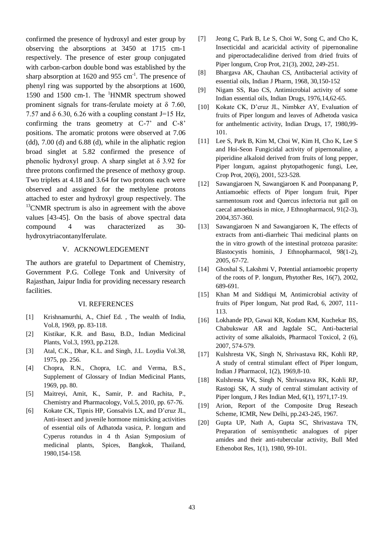confirmed the presence of hydroxyl and ester group by observing the absorptions at 3450 at 1715 cm-1 respectively. The presence of ester group conjugated with carbon-carbon double bond was established by the sharp absorption at  $1620$  and  $955$  cm<sup>-1</sup>. The presence of phenyl ring was supported by the absorptions at 1600, 1590 and 1500 cm-1. The <sup>1</sup>HNMR spectrum showed prominent signals for trans-ferulate moiety at  $\delta$  7.60, 7.57 and  $\delta$  6.30, 6.26 with a coupling constant J=15 Hz, confirming the trans geometry at C-7' and C-8' positions. The aromatic protons were observed at 7.06 (dd), 7.00 (d) and 6.88 (d), while in the aliphatic region broad singlet at 5.82 confirmed the presence of phenolic hydroxyl group. A sharp singlet at  $\delta$  3.92 for three protons confirmed the presence of methoxy group. Two triplets at 4.18 and 3.64 for two protons each were observed and assigned for the methylene protons attached to ester and hydroxyl group respectively. The  $13$ CNMR spectrum is also in agreement with the above values [43-45]. On the basis of above spectral data compound 4 was characterized as 30 hydroxytriacontanylferulate.

#### V. ACKNOWLEDGEMENT

The authors are grateful to Department of Chemistry, Government P.G. College Tonk and University of Rajasthan, Jaipur India for providing necessary research facilities.

#### VI. REFERENCES

- [1] Krishnamurthi, A., Chief Ed. , The wealth of India, Vol.8, 1969, pp. 83-118.
- [2] Kistikar, K.R. and Basu, B.D., Indian Medicinal Plants, Vol.3, 1993, pp.2128.
- [3] Atal, C.K., Dhar, K.L. and Singh, J.L. Loydia Vol.38, 1975, pp. 256.
- [4] Chopra, R.N., Chopra, I.C. and Verma, B.S., Supplement of Glossary of Indian Medicinal Plants, 1969, pp. 80.
- [5] Maitreyi, Amit, K., Samir, P. and Rachita, P., Chemistry and Pharmacology, Vol.5, 2010, pp. 67-76.
- [6] Kokate CK, Tipnis HP, Gonsalvis LX, and D'cruz JL, Anti-insect and juvenile hormone mimicking activities of essential oils of Adhatoda vasica, P. longum and Cyperus rotundus in 4 th Asian Symposium of medicinal plants, Spices, Bangkok, Thailand, 1980,154-158.
- [7] Jeong C, Park B, Le S, Choi W, Song C, and Cho K, Insecticidal and acaricidal activity of pipernonaline and piperoctadecalidine derived from dried fruits of Piper longum, Crop Prot, 21(3), 2002, 249-251.
- [8] Bhargava AK, Chauhan CS, Antibacterial activity of essential oils, Indian J Pharm, 1968, 30,150-152
- [9] Nigam SS, Rao CS, Antimicrobial activity of some Indian essential oils, Indian Drugs, 1976,14,62-65.
- [10] Kokate CK, D'cruz JL, Nimbker AY, Evaluation of fruits of Piper longum and leaves of Adhetoda vasica for anthelmentic activity, Indian Drugs, 17, 1980,99- 101.
- [11] Lee S, Park B, Kim M, Choi W, Kim H, Cho K, Lee S and Hoi-Seon Fungicidal activity of pipernonaline, a piperidine alkaloid derived from fruits of long pepper, Piper longum, against phytopathogenic fungi, Lee, Crop Prot, 20(6), 2001, 523-528.
- [12] Sawangjaroen N, Sawangjaroen K and Poonpanang P, Antiamoebic effects of Piper longum fruit, Piper sarmentosum root and Quercus infectoria nut gall on caecal amoebiasis in mice, J Ethnopharmacol, 91(2-3), 2004,357-360.
- [13] Sawangjaroen N and Sawangjaroen K, The effects of extracts from anti-diarrheic Thai medicinal plants on the in vitro growth of the intestinal protozoa parasite: Blastocystis hominis, J Ethnopharmacol, 98(1-2), 2005, 67-72.
- [14] Ghoshal S, Lakshmi V, Potential antiamoebic property of the roots of P. longum, Phytother Res, 16(7), 2002, 689-691.
- [15] Khan M and Siddiqui M, Antimicrobial activity of fruits of Piper longum, Nat prod Rad, 6, 2007, 111- 113.
- [16] Lokhande PD, Gawai KR, Kodam KM, Kuchekar BS, Chabukswar AR and Jagdale SC, Anti-bacterial activity of some alkaloids, Pharmacol Toxicol, 2 (6), 2007, 574-579.
- [17] Kulshresta VK, Singh N, Shrivastava RK, Kohli RP, A study of central stimulant effect of Piper longum, Indian J Pharmacol, 1(2), 1969,8-10.
- [18] Kulshresta VK, Singh N, Shrivastava RK, Kohli RP, Rastogi SK, A study of central stimulant activity of Piper longum, J Res Indian Med, 6(1), 1971,17-19.
- [19] Arion, Report of the Composite Drug Reseach Scheme, ICMR, New Delhi, pp.243-245, 1967.
- [20] Gupta UP, Nath A, Gupta SC, Shrivastava TN, Preparation of semisynthetic analogues of piper amides and their anti-tubercular activity, Bull Med Ethenobot Res, 1(1), 1980, 99-101.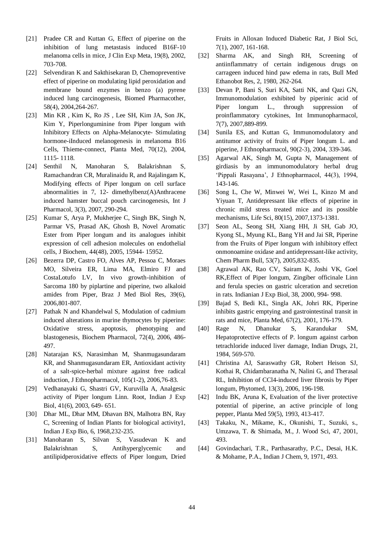- [21] Pradee CR and Kuttan G, Effect of piperine on the inhibition of lung metastasis induced B16F-10 melanoma cells in mice, J Clin Exp Meta, 19(8), 2002, 703-708.
- [22] Selvendiran K and Sakthisekaran D, Chemopreventive effect of piperine on modulating lipid peroxidation and membrane bound enzymes in benzo (a) pyrene induced lung carcinogenesis, Biomed Pharmacother, 58(4), 2004,264-267.
- [23] Min KR , Kim K, Ro JS , Lee SH, Kim JA, Son JK, Kim Y, Piperlonguminine from Piper longum with Inhibitory Effects on Alpha-Melanocyte- Stimulating hormone-iInduced melanogenesis in melanoma B16 Cells, Thieme-connect, Planta Med, 70(12), 2004, 1115- 1118.
- [24] Senthil N, Manoharan S, Balakrishnan S, Ramachandran CR, Muralinaidu R, and Rajalingam K, Modifying effects of Piper longum on cell surface abnormalities in 7, 12- dimethylbenz(A)Anthracene induced hamster buccal pouch carcinogenesis, Int J Pharmacol, 3(3), 2007, 290-294.
- [25] Kumar S, Arya P, Mukherjee C, Singh BK, Singh N, Parmar VS, Prasad AK, Ghosh B, Novel Aromatic Ester from Piper longum and its analogues inhibit expression of cell adhesion molecules on endothelial cells, J Biochem, 44(48), 2005, 15944- 15952.
- [26] Bezerra DP, Castro FO, Alves AP, Pessoa C, Moraes MO, Silveira ER, Lima MA, Elmiro FJ and CostaLotufo LV, In vivo growth-inhibition of Sarcoma 180 by piplartine and piperine, two alkaloid amides from Piper, Braz J Med Biol Res, 39(6), 2006,801-807.
- [27] Pathak N and Khandelwal S, Modulation of cadmium induced alterations in murine thymocytes by piperine: Oxidative stress, apoptosis, phenotyping and blastogenesis, Biochem Pharmacol, 72(4), 2006, 486- 497.
- [28] Natarajan KS, Narasimhan M, Shanmugasundaram KR, and Shanmugasundaram ER, Antioxidant activity of a salt-spice-herbal mixture against free radical induction, J Ethnopharmacol, 105(1-2), 2006,76-83.
- [29] Vedhanayaki G, Shastri GV, Kuruvilla A, Analgesic activity of Piper longum Linn. Root, Indian J Exp Biol, 41(6), 2003, 649- 651.
- [30] Dhar ML, Dhar MM, Dhavan BN, Malhotra BN, Ray C, Screening of Indian Plants for biological activity1, Indian J Exp Bio, 6, 1968,232-235.
- [31] Manoharan S, Silvan S, Vasudevan K and Balakrishnan S, Antihyperglycemic and antilipidperoxidative effects of Piper longum, Dried

Fruits in Alloxan Induced Diabetic Rat, J Biol Sci, 7(1), 2007, 161-168.

- [32] Sharma AK, and Singh RH, Screening of antiinflammatry of certain indigenous drugs on carrageen induced hind paw edema in rats, Bull Med Ethanobot Res, 2, 1980, 262-264.
- [33] Devan P, Bani S, Suri KA, Satti NK, and Qazi GN, Immunomodulation exhibited by piperinic acid of Piper longum L., through suppression of proinflammatory cytokines, Int Immunopharmacol, 7(7), 2007,889-899.
- [34] Sunila ES, and Kuttan G, Immunomodulatory and antitumor activity of fruits of Piper longum L. and piperine, J Ethnopharmacol, 90(2-3), 2004, 339-346.
- [35] Agarwal AK, Singh M, Gupta N, Management of girdiasis by an immunomodulatory herbal drug 'Pippali Rasayana', J Ethnopharmacol, 44(3), 1994, 143-146.
- [36] Song L, Che W, Minwei W, Wei L, Kinzo M and Yiyuan T, Antidepressant like effects of piperine in chronic mild stress treated mice and its possible mechanisms, Life Sci, 80(15), 2007,1373-1381.
- [37] Seon AL, Seong SH, Xiang HH, Ji SH, Gab JO, Kyong SL, Myung KL, Bang YH and Jai SR, Piperine from the Fruits of Piper longum with inhibitory effect onmonoamine oxidase and antidepressant-like activity, Chem Pharm Bull, 53(7), 2005,832-835.
- [38] Agrawal AK, Rao CV, Sairam K, Joshi VK, Goel RK,Effect of Piper longum, Zingiber officinale Linn and ferula species on gastric ulceration and secretion in rats. Indianian J Exp Biol, 38, 2000, 994- 998.
- [39] Bajad S, Bedi KL, Singla AK, Johri RK, Piperine inhibits gastric emptying and gastrointestinal transit in rats and mice, Planta Med, 67(2), 2001, 176-179.
- [40] Rage N, Dhanukar S, Karandukar SM, Hepatoprotective effects of P. longum against carbon tetrachloride induced liver damage, Indian Drugs, 21, 1984, 569-570.
- [41] Christina AJ, Saraswathy GR, Robert Heison SJ, Kothai R, Chidambaranatha N, Nalini G, and Therasal RL, Inhibition of CCl4-induced liver fibrosis by Piper longum, Phytomed, 13(3), 2006, 196-198.
- [42] Indu BK, Aruna K, Evaluation of the liver protective potential of piperine, an active principle of long pepper, Planta Med 59(5), 1993, 413-417.
- [43] Takaku, N., Mikame, K., Okunishi, T., Suzuki, s., Umzawa, T. & Shimada, M., J. Wood Sci, 47, 2001, 493.
- [44] Govindachari, T.R., Parthasarathy, P.C., Desai, H.K. & Mohame, P.A., Indian J Chem, 9, 1971, 493.